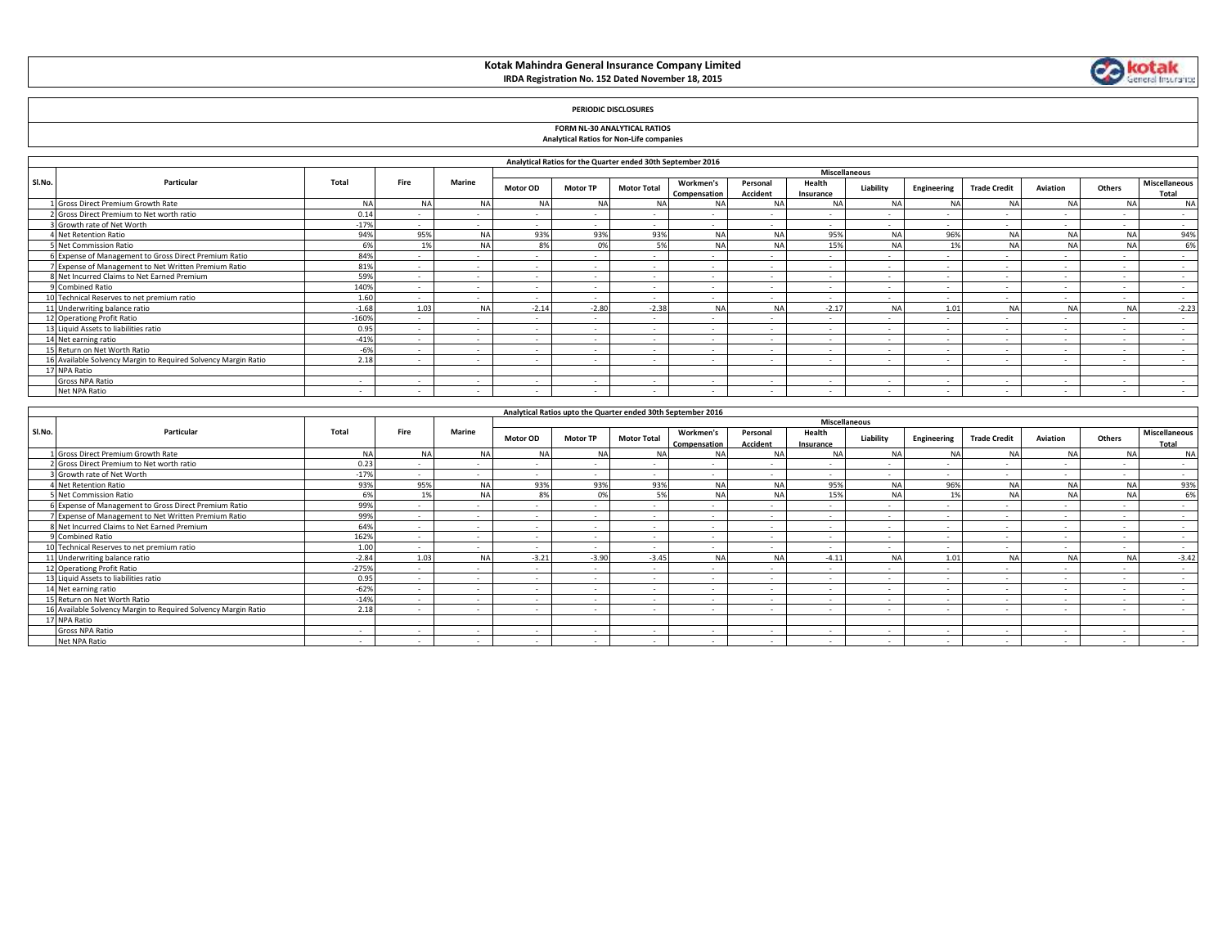# **Kotak Mahindra General Insurance Company Limited IRDA Registration No. 152 Dated November 18, 2015**



## **PERIODIC DISCLOSURES**

### **FORM NL-30 ANALYTICAL RATIOS Analytical Ratios for Non-Life companies**

| Miscellaneous |                                                                |         |        |               |                 |                 |                          |                           |                          |                          |           |                          |                     |                          |                |                          |
|---------------|----------------------------------------------------------------|---------|--------|---------------|-----------------|-----------------|--------------------------|---------------------------|--------------------------|--------------------------|-----------|--------------------------|---------------------|--------------------------|----------------|--------------------------|
| SI.No.        | Particular                                                     | Total   | Fire   | <b>Marine</b> | <b>Motor OD</b> | <b>Motor TP</b> | <b>Motor Total</b>       | Workmen's<br>Compensation | Personal<br>Accident     | Health<br>Insurance      | Liability | Engineering              | <b>Trade Credit</b> | Aviation                 | Others         | Miscellaneous<br>Total   |
|               | Gross Direct Premium Growth Rate                               | NΔ      | NΔ     | N.            | NΔ              | N               | <b>NA</b>                | N/                        | N/                       |                          | N.        |                          | NΔ                  |                          | <b>NA</b>      | NΔ                       |
|               | 2 Gross Direct Premium to Net worth ratio                      | 0.14    |        |               |                 |                 |                          |                           |                          |                          |           |                          |                     | $\overline{\phantom{a}}$ | $\sim$         | $\sim$                   |
|               | Growth rate of Net Worth                                       | $-179$  |        | $\sim$        |                 | $\sim$          | $\overline{\phantom{a}}$ |                           |                          | $\overline{a}$           |           |                          |                     | $\sim$                   | $\sim$         | $\overline{a}$           |
|               | Net Retention Ratio                                            | 94%     | 95%    |               | 93%             | 93%             | 93%                      | <b>NA</b>                 | N                        | 95%                      | N.        | 96%                      | NΔ                  |                          | NΔ             | 94%                      |
|               | Net Commission Ratio                                           | 65      | 1%     |               | 8%              | $\Omega$ %      | 5%                       | <b>NA</b>                 | NΔ                       | 15%                      | <b>NA</b> |                          |                     |                          | N/             | 6%                       |
|               | 6 Expense of Management to Gross Direct Premium Ratio          | 84%     |        |               |                 | $\sim$          | $\overline{\phantom{a}}$ | $\overline{\phantom{a}}$  | $\sim$                   | $\overline{\phantom{a}}$ |           |                          | $\sim$              | $\sim$                   | $\sim$         | $\sim$                   |
|               | Expense of Management to Net Written Premium Ratio             | 81%     |        |               |                 |                 | $\overline{a}$           |                           | $\sim$                   | . —                      |           |                          |                     | $\sim$                   | $\overline{a}$ | $\sim$                   |
|               | 8 Net Incurred Claims to Net Earned Premium                    | 59%     | .      | $\sim$        | $\sim$          | $\sim$          | $\overline{\phantom{a}}$ | $\overline{\phantom{a}}$  | $\overline{\phantom{a}}$ | $\sim$                   |           | . .                      | $\sim$              | $\sim$                   | $\sim$         | $\overline{a}$           |
|               | 9 Combined Ratio                                               | 140%    |        |               |                 | $\sim$          | $\overline{\phantom{a}}$ | $\overline{\phantom{a}}$  | $\overline{\phantom{a}}$ | ۰                        |           |                          |                     | $\sim$                   | $\sim$         | $\overline{a}$           |
|               | 10 Technical Reserves to net premium ratio                     | 1.60    |        |               |                 | $\sim$          | $\overline{a}$           | $\sim$                    | $\overline{\phantom{a}}$ | $\overline{a}$           |           |                          |                     | $\sim$                   | $\sim$         | $\sim$                   |
|               | 11 Underwriting balance ratio                                  | $-1.68$ | 1.03   |               | $-2.14$         | $-2.80$         | $-2.38$                  | <b>NA</b>                 | N                        | $-2.17$                  | NA        | 1.01                     | NA                  |                          | <b>NA</b>      | $-2.23$                  |
|               | 12 Operationg Profit Ratio                                     | $-160%$ |        | $\sim$        | $\sim$          | $\sim$          | $\sim$                   | $\overline{\phantom{a}}$  | $\sim$                   | $\sim$                   |           | $\overline{\phantom{a}}$ | $\sim$              | $\sim$                   | $\sim$         | $\sim$                   |
|               | 13 Liquid Assets to liabilities ratio                          | 0.95    |        |               | $\sim$          | $\sim$          | $\overline{\phantom{a}}$ |                           |                          | <b>.</b>                 |           |                          |                     | $\sim$                   | $\sim$         | $\overline{\phantom{a}}$ |
|               | 14 Net earning ratio                                           | $-419$  |        |               |                 | $\sim$          |                          |                           |                          |                          |           |                          |                     | $\overline{\phantom{a}}$ | $\sim$         |                          |
|               | 15 Return on Net Worth Ratio                                   | $-6%$   | $\sim$ | $\sim$        | $\sim$          | $\sim$          | $\sim$                   | $\overline{\phantom{a}}$  | $\sim$                   | $\sim$                   | $\sim$    | $\sim$                   | $\sim$              | $\sim$                   | $\sim$         | $\sim$                   |
|               | 16 Available Solvency Margin to Required Solvency Margin Ratio | 2.18    |        | $\sim$        | $\sim$          | $\sim$          |                          |                           |                          | . .                      |           | $\overline{\phantom{a}}$ | $\sim$              | $\sim$                   | $\sim$         | $\overline{a}$           |
|               | 17 NPA Ratio                                                   |         |        |               |                 |                 |                          |                           |                          |                          |           |                          |                     |                          |                |                          |
|               | <b>Gross NPA Ratio</b>                                         |         |        |               |                 | $\sim$          |                          |                           |                          |                          |           |                          |                     | $\overline{\phantom{a}}$ | $\sim$         |                          |
|               | Net NPA Ratio                                                  | $\sim$  |        | $\sim$        |                 | $\sim$          | $\overline{\phantom{a}}$ | $\overline{\phantom{a}}$  |                          |                          |           |                          |                     |                          | $\sim$         |                          |

|        |                                                                |         |                          |           |                          |                 | Analytical Ratios upto the Quarter ended 30th September 2016 |                           |                             |                          |           |                          |                          |                          |                          |                          |
|--------|----------------------------------------------------------------|---------|--------------------------|-----------|--------------------------|-----------------|--------------------------------------------------------------|---------------------------|-----------------------------|--------------------------|-----------|--------------------------|--------------------------|--------------------------|--------------------------|--------------------------|
|        |                                                                |         |                          |           |                          |                 |                                                              |                           |                             | <b>Miscellaneous</b>     |           |                          |                          |                          |                          |                          |
| Sl.No. | Particular                                                     | Total   | Fire                     | Marine    | <b>Motor OD</b>          | <b>Motor TP</b> | <b>Motor Total</b>                                           | Workmen's<br>Compensation | Personal<br><b>Accident</b> | Health<br>Insurance      | Liability | Engineering              | <b>Trade Credit</b>      | Aviation                 | Others                   | Miscellaneous<br>Total   |
|        | Gross Direct Premium Growth Rate                               | N/      |                          | <b>NA</b> | <b>NA</b>                |                 | <b>NA</b>                                                    | <b>NA</b>                 | <b>NA</b>                   | <b>NA</b>                | NΔ        | NA                       |                          |                          | <b>NA</b>                | <b>NA</b>                |
|        | Gross Direct Premium to Net worth ratio                        | 0.23    | $\sim$                   | $\sim$    |                          |                 |                                                              |                           | $\overline{\phantom{a}}$    | $\sim$                   |           | $\overline{\phantom{a}}$ |                          | $\sim$                   | $\sim$                   | $\sim$                   |
|        | Growth rate of Net Worth                                       | $-17%$  | $\sim$                   | $\sim$    | $\sim$                   | $\sim$          |                                                              |                           |                             | $\overline{\phantom{a}}$ |           |                          |                          | $\sim$                   | $\sim$                   | $\sim$                   |
|        | <b>1 Net Retention Ratio</b>                                   | 93%     | 95%                      | NA        | 93%                      | 93%             | 93%                                                          | <b>NA</b>                 | <b>NA</b>                   | 95%                      | <b>NA</b> | 96%                      | <b>NA</b>                |                          | <b>NA</b>                | 93%                      |
|        | 5 Net Commission Ratio                                         | 6%      |                          | NA        | 8%                       | 0%              | 5%                                                           | <b>NA</b>                 | <b>NA</b>                   | 15%                      | <b>NA</b> | 1%                       | <b>NA</b>                | NΔ                       | NA                       | 6%                       |
|        | 6 Expense of Management to Gross Direct Premium Ratio          | 99%     | $\sim$                   | $\sim$    | $\sim$                   | $\sim$          |                                                              |                           |                             | $\sim$                   |           |                          | $\overline{\phantom{a}}$ | $\sim$                   | $\sim$                   | $\sim$                   |
|        | 7 Expense of Management to Net Written Premium Ratio           | 99%     | $\sim$                   | $\sim$    | $\overline{\phantom{a}}$ | $\sim$          | $\sim$                                                       | $\overline{\phantom{a}}$  | $\overline{\phantom{a}}$    | $\overline{\phantom{a}}$ | $\sim$    | $\sim$                   | $\overline{\phantom{a}}$ | $\sim$                   | $\sim$                   | $\sim$                   |
|        | 8 Net Incurred Claims to Net Earned Premium                    | 64%     | $\overline{\phantom{a}}$ | $\sim$    | $\overline{\phantom{a}}$ | $\sim$          |                                                              |                           |                             | $\sim$                   |           |                          |                          | $\sim$                   | $\sim$                   | $\sim$                   |
|        | 9 Combined Ratio                                               | 162%    |                          | $\sim$    | $\sim$                   | $\sim$          |                                                              |                           |                             |                          |           |                          |                          | $\sim$                   | $\sim$                   | $\sim$                   |
|        | 10 Technical Reserves to net premium ratio                     | 1.00    | $\sim$                   | $\sim$    | $\sim$                   | $\sim$          | $\overline{\phantom{a}}$                                     |                           | $\overline{a}$              | $\sim$                   | $\sim$    | $\overline{\phantom{a}}$ | $\overline{\phantom{a}}$ | $\sim$                   | $\sim$                   | $\sim$                   |
|        | 11 Underwriting balance ratio                                  | $-2.84$ | 1.03                     | <b>NA</b> | $-3.21$                  | $-3.90$         | $-3.45$                                                      | <b>NA</b>                 | <b>NA</b>                   | $-4.11$                  | N/        | 1.01                     |                          |                          | <b>NA</b>                | $-3.42$                  |
|        | 12 Operationg Profit Ratio                                     | $-275%$ | $\sim$                   | $\sim$    | $\sim$                   | $\sim$          | $\sim$                                                       |                           |                             | $\overline{\phantom{a}}$ |           |                          | $\sim$                   | $\sim$                   | $\sim$                   | $\sim$                   |
|        | 13 Liquid Assets to liabilities ratio                          | 0.95    | $\sim$                   | $\sim$    |                          | $\sim$          |                                                              |                           |                             |                          |           |                          |                          | $\overline{\phantom{a}}$ | $\sim$                   | $\overline{\phantom{a}}$ |
|        | 14 Net earning ratio                                           | $-62%$  | $\sim$                   | $\sim$    | $\sim$                   |                 |                                                              |                           |                             | $\sim$                   |           |                          |                          | $\sim$                   | $\sim$                   | $\overline{\phantom{a}}$ |
|        | 15 Return on Net Worth Ratio                                   | $-14%$  | $\sim$                   | $\sim$    |                          |                 | $\sim$                                                       | $\overline{\phantom{a}}$  | $\overline{\phantom{a}}$    | $\sim$                   |           | $\overline{\phantom{a}}$ | $\overline{\phantom{a}}$ | $\sim$                   | $\sim$                   | $\overline{\phantom{a}}$ |
|        | 16 Available Solvency Margin to Required Solvency Margin Ratio | 2.18    |                          | .         | $\sim$                   |                 |                                                              |                           |                             |                          |           |                          |                          | $\overline{\phantom{a}}$ |                          |                          |
|        | 17 NPA Ratio                                                   |         |                          |           |                          |                 |                                                              |                           |                             |                          |           |                          |                          |                          |                          |                          |
|        | Gross NPA Ratio                                                |         |                          |           |                          |                 |                                                              |                           |                             |                          |           |                          |                          | $\overline{\phantom{a}}$ | $\overline{\phantom{a}}$ | $\overline{\phantom{a}}$ |
|        | Net NPA Ratio                                                  |         |                          |           | $\sim$                   |                 |                                                              |                           |                             |                          |           |                          |                          | $\overline{\phantom{a}}$ | $\sim$                   | $\overline{\phantom{a}}$ |

- F